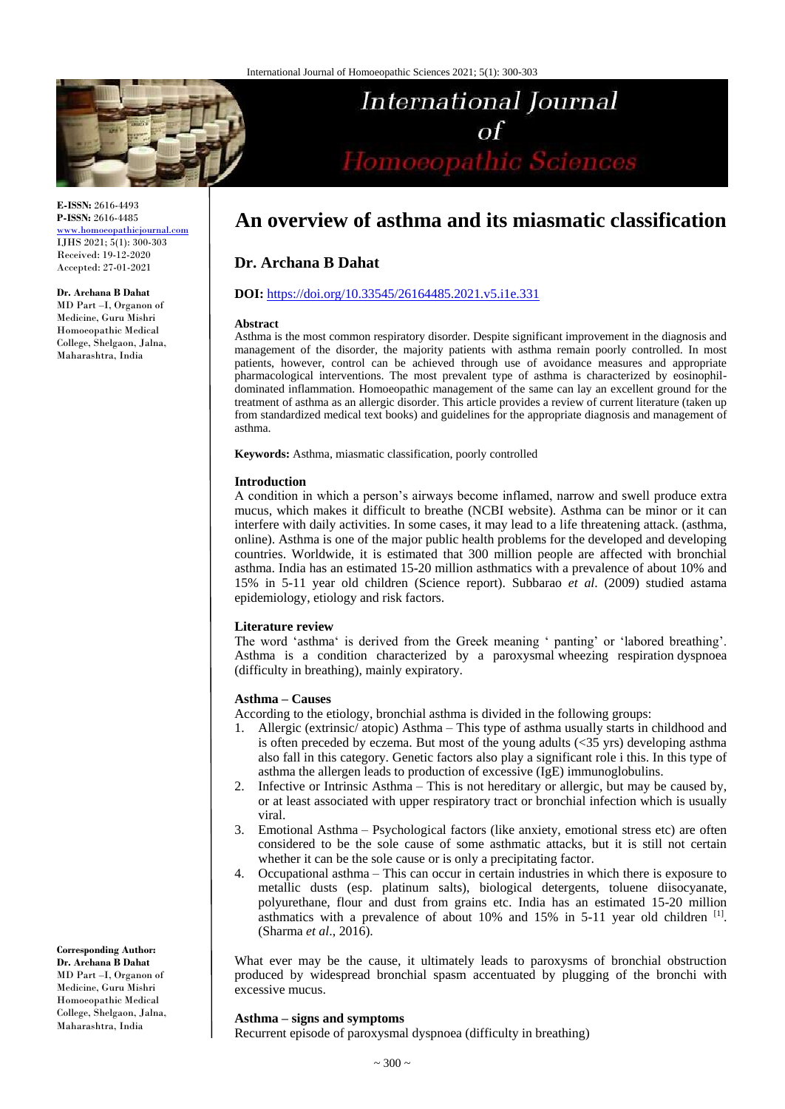

**E-ISSN:** 2616-4493 **P-ISSN:** 2616-4485 [www.homoeopathicjournal.com](file://Server/test/homoeopathicjournal/issue/vol%204/issue%201/www.homoeopathicjournal.com)

IJHS 2021; 5(1): 300-303 Received: 19-12-2020 Accepted: 27-01-2021

#### **Dr. Archana B Dahat**

MD Part –I, Organon of Medicine, Guru Mishri Homoeopathic Medical College, Shelgaon, Jalna, Maharashtra, India

**International Journal** of<br>Homoeopathic Sciences

# **An overview of asthma and its miasmatic classification**

### **Dr. Archana B Dahat**

#### **DOI:** <https://doi.org/10.33545/26164485.2021.v5.i1e.331>

#### **Abstract**

Asthma is the most common respiratory disorder. Despite significant improvement in the diagnosis and management of the disorder, the majority patients with asthma remain poorly controlled. In most patients, however, control can be achieved through use of avoidance measures and appropriate pharmacological interventions. The most prevalent type of asthma is characterized by eosinophildominated inflammation. Homoeopathic management of the same can lay an excellent ground for the treatment of asthma as an allergic disorder. This article provides a review of current literature (taken up from standardized medical text books) and guidelines for the appropriate diagnosis and management of asthma.

**Keywords:** Asthma, miasmatic classification, poorly controlled

#### **Introduction**

A condition in which a person's airways become inflamed, narrow and swell produce extra mucus, which makes it difficult to breathe (NCBI website). Asthma can be minor or it can interfere with daily activities. In some cases, it may lead to a life threatening attack. (asthma, online). Asthma is one of the major public health problems for the developed and developing countries. Worldwide, it is estimated that 300 million people are affected with bronchial asthma. India has an estimated 15-20 million asthmatics with a prevalence of about 10% and 15% in 5-11 year old children (Science report). Subbarao *et al*. (2009) studied astama epidemiology, etiology and risk factors.

### **Literature review**

The word 'asthma' is derived from the Greek meaning ' panting' or 'labored breathing'. Asthma is a condition characterized by a paroxysmal wheezing respiration dyspnoea (difficulty in breathing), mainly expiratory.

### **Asthma – Causes**

According to the etiology, bronchial asthma is divided in the following groups:

- 1. Allergic (extrinsic/ atopic) Asthma This type of asthma usually starts in childhood and is often preceded by eczema. But most of the young adults  $(\leq 35 \text{ yrs})$  developing asthma also fall in this category. Genetic factors also play a significant role i this. In this type of asthma the allergen leads to production of excessive (IgE) immunoglobulins.
- 2. Infective or Intrinsic Asthma This is not hereditary or allergic, but may be caused by, or at least associated with upper respiratory tract or bronchial infection which is usually viral.
- 3. Emotional Asthma Psychological factors (like anxiety, emotional stress etc) are often considered to be the sole cause of some asthmatic attacks, but it is still not certain whether it can be the sole cause or is only a precipitating factor.
- 4. Occupational asthma This can occur in certain industries in which there is exposure to metallic dusts (esp. platinum salts), biological detergents, toluene diisocyanate, polyurethane, flour and dust from grains etc. India has an estimated 15-20 million asthmatics with a prevalence of about 10% and 15% in 5-11 year old children [1]. (Sharma *et al*., 2016).

What ever may be the cause, it ultimately leads to paroxysms of bronchial obstruction produced by widespread bronchial spasm accentuated by plugging of the bronchi with excessive mucus.

### **Asthma – signs and symptoms**

Recurrent episode of paroxysmal dyspnoea (difficulty in breathing)

**Corresponding Author: Dr. Archana B Dahat**  MD Part –I, Organon of Medicine, Guru Mishri Homoeopathic Medical College, Shelgaon, Jalna, Maharashtra, India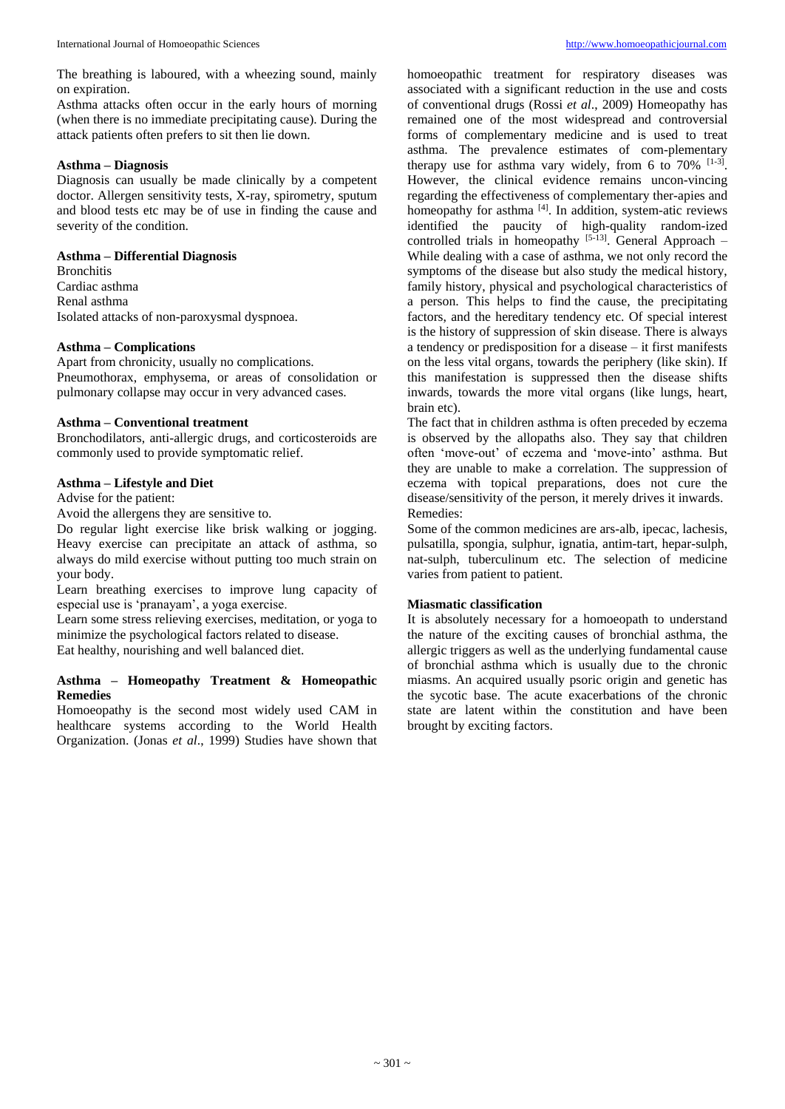The breathing is laboured, with a wheezing sound, mainly on expiration.

Asthma attacks often occur in the early hours of morning (when there is no immediate precipitating cause). During the attack patients often prefers to sit then lie down.

# **Asthma – Diagnosis**

Diagnosis can usually be made clinically by a competent doctor. Allergen sensitivity tests, X-ray, spirometry, sputum and blood tests etc may be of use in finding the cause and severity of the condition.

# **Asthma – Differential Diagnosis**

**Bronchitis** Cardiac asthma Renal asthma Isolated attacks of non-paroxysmal dyspnoea.

# **Asthma – Complications**

Apart from chronicity, usually no complications. Pneumothorax, emphysema, or areas of consolidation or pulmonary collapse may occur in very advanced cases.

# **Asthma – Conventional treatment**

Bronchodilators, anti-allergic drugs, and corticosteroids are commonly used to provide symptomatic relief.

# **Asthma – Lifestyle and Diet**

Advise for the patient:

Avoid the allergens they are sensitive to.

Do regular light exercise like brisk walking or jogging. Heavy exercise can precipitate an attack of asthma, so always do mild exercise without putting too much strain on your body.

Learn breathing exercises to improve lung capacity of especial use is 'pranayam', a yoga exercise.

Learn some stress relieving exercises, meditation, or yoga to minimize the psychological factors related to disease.

Eat healthy, nourishing and well balanced diet.

### **Asthma – Homeopathy Treatment & Homeopathic Remedies**

Homoeopathy is the second most widely used CAM in healthcare systems according to the World Health Organization. (Jonas *et al*., 1999) Studies have shown that

homoeopathic treatment for respiratory diseases was associated with a significant reduction in the use and costs of conventional drugs (Rossi *et al*., 2009) Homeopathy has remained one of the most widespread and controversial forms of complementary medicine and is used to treat asthma. The prevalence estimates of com-plementary therapy use for asthma vary widely, from 6 to  $70\%$  <sup>[1-3]</sup>. However, the clinical evidence remains uncon-vincing regarding the effectiveness of complementary ther-apies and homeopathy for asthma  $[4]$ . In addition, system-atic reviews identified the paucity of high-quality random-ized controlled trials in homeopathy [5-13]. General Approach -While dealing with a case of asthma, we not only record the symptoms of the disease but also study the medical history, family history, physical and psychological characteristics of a person. This helps to find the cause, the precipitating factors, and the hereditary tendency etc. Of special interest is the history of suppression of skin disease. There is always a tendency or predisposition for a disease – it first manifests on the less vital organs, towards the periphery (like skin). If this manifestation is suppressed then the disease shifts inwards, towards the more vital organs (like lungs, heart, brain etc).

The fact that in children asthma is often preceded by eczema is observed by the allopaths also. They say that children often 'move-out' of eczema and 'move-into' asthma. But they are unable to make a correlation. The suppression of eczema with topical preparations, does not cure the disease/sensitivity of the person, it merely drives it inwards. Remedies:

Some of the common medicines are ars-alb, ipecac, lachesis, pulsatilla, spongia, sulphur, ignatia, antim-tart, hepar-sulph, nat-sulph, tuberculinum etc. The selection of medicine varies from patient to patient.

# **Miasmatic classification**

It is absolutely necessary for a homoeopath to understand the nature of the exciting causes of bronchial asthma, the allergic triggers as well as the underlying fundamental cause of bronchial asthma which is usually due to the chronic miasms. An acquired usually psoric origin and genetic has the sycotic base. The acute exacerbations of the chronic state are latent within the constitution and have been brought by exciting factors.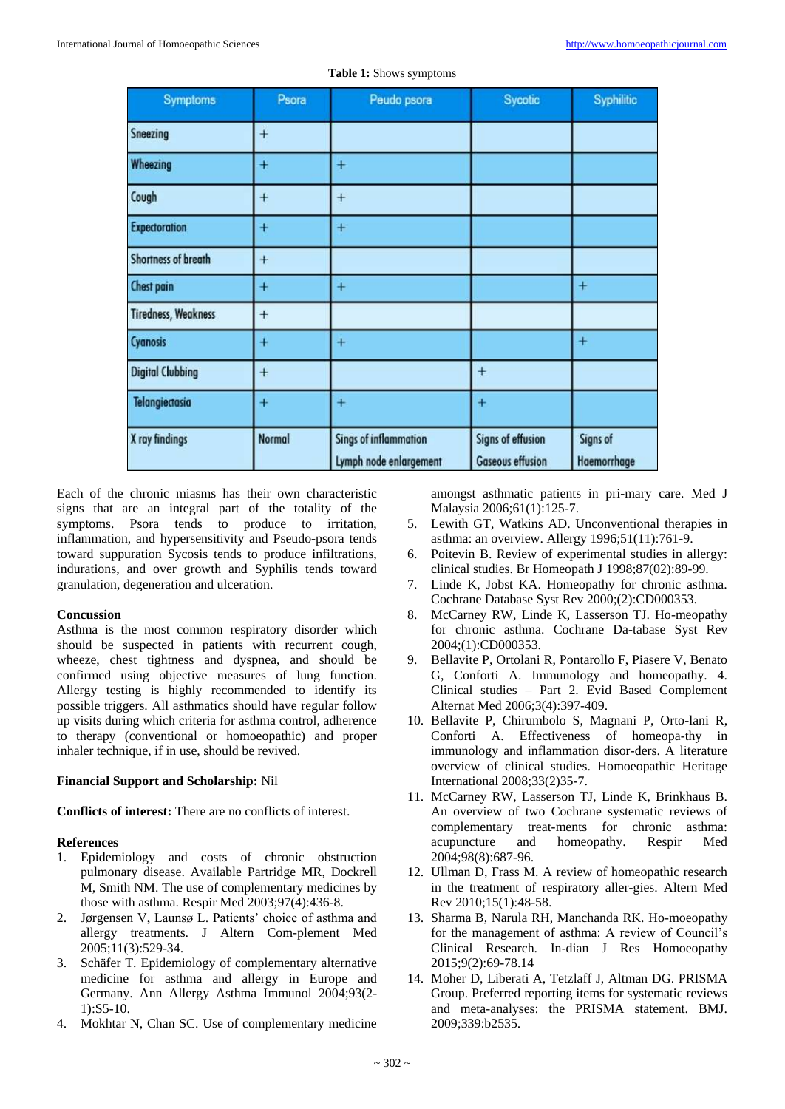| <b>Symptoms</b>            | Psora         | Peudo psora                                            | Sycotic                                      | Syphilitic              |
|----------------------------|---------------|--------------------------------------------------------|----------------------------------------------|-------------------------|
| Sneezing                   | $+$           |                                                        |                                              |                         |
| Wheezing                   | $+$           | $+$                                                    |                                              |                         |
| Cough                      | $^{+}$        | $^{+}$                                                 |                                              |                         |
| <b>Expectoration</b>       | $+$           | $+$                                                    |                                              |                         |
| Shortness of breath        | $+$           |                                                        |                                              |                         |
| <b>Chest pain</b>          | $^{+}$        | $^{+}$                                                 |                                              | $+$                     |
| <b>Tiredness, Weakness</b> | $+$           |                                                        |                                              |                         |
| Cyanosis                   | $+$           | $^{+}$                                                 |                                              | $+$                     |
| <b>Digital Clubbing</b>    | $+$           |                                                        | $\ddot{}$                                    |                         |
| Telangiectasia             | $+$           | $+$                                                    | $+$                                          |                         |
| X ray findings             | <b>Normal</b> | <b>Sings of inflammation</b><br>Lymph node enlargement | Signs of effusion<br><b>Gaseous effusion</b> | Signs of<br>Haemorrhage |

|  |  | Table 1: Shows symptoms |  |
|--|--|-------------------------|--|
|--|--|-------------------------|--|

Each of the chronic miasms has their own characteristic signs that are an integral part of the totality of the symptoms. Psora tends to produce to irritation, inflammation, and hypersensitivity and Pseudo-psora tends toward suppuration Sycosis tends to produce infiltrations, indurations, and over growth and Syphilis tends toward granulation, degeneration and ulceration.

### **Concussion**

Asthma is the most common respiratory disorder which should be suspected in patients with recurrent cough, wheeze, chest tightness and dyspnea, and should be confirmed using objective measures of lung function. Allergy testing is highly recommended to identify its possible triggers. All asthmatics should have regular follow up visits during which criteria for asthma control, adherence to therapy (conventional or homoeopathic) and proper inhaler technique, if in use, should be revived.

### **Financial Support and Scholarship:** Nil

**Conflicts of interest:** There are no conflicts of interest.

### **References**

- 1. Epidemiology and costs of chronic obstruction pulmonary disease. Available Partridge MR, Dockrell M, Smith NM. The use of complementary medicines by those with asthma. Respir Med 2003;97(4):436-8.
- 2. Jørgensen V, Launsø L. Patients' choice of asthma and allergy treatments. J Altern Com-plement Med 2005;11(3):529-34.
- 3. Schäfer T. Epidemiology of complementary alternative medicine for asthma and allergy in Europe and Germany. Ann Allergy Asthma Immunol 2004;93(2- 1):S5-10.
- 4. Mokhtar N, Chan SC. Use of complementary medicine

amongst asthmatic patients in pri-mary care. Med J Malaysia 2006;61(1):125-7.

- 5. Lewith GT, Watkins AD. Unconventional therapies in asthma: an overview. Allergy 1996;51(11):761-9.
- 6. Poitevin B. Review of experimental studies in allergy: clinical studies. Br Homeopath J 1998;87(02):89-99.
- 7. Linde K, Jobst KA. Homeopathy for chronic asthma. Cochrane Database Syst Rev 2000;(2):CD000353.
- 8. McCarney RW, Linde K, Lasserson TJ. Ho-meopathy for chronic asthma. Cochrane Da-tabase Syst Rev 2004;(1):CD000353.
- 9. Bellavite P, Ortolani R, Pontarollo F, Piasere V, Benato G, Conforti A. Immunology and homeopathy. 4. Clinical studies – Part 2. Evid Based Complement Alternat Med 2006;3(4):397-409.
- 10. Bellavite P, Chirumbolo S, Magnani P, Orto-lani R, Conforti A. Effectiveness of homeopa-thy in immunology and inflammation disor-ders. A literature overview of clinical studies. Homoeopathic Heritage International 2008;33(2)35-7.
- 11. McCarney RW, Lasserson TJ, Linde K, Brinkhaus B. An overview of two Cochrane systematic reviews of complementary treat-ments for chronic asthma: acupuncture and homeopathy. Respir Med 2004;98(8):687-96.
- 12. Ullman D, Frass M. A review of homeopathic research in the treatment of respiratory aller-gies. Altern Med Rev 2010;15(1):48-58.
- 13. Sharma B, Narula RH, Manchanda RK. Ho-moeopathy for the management of asthma: A review of Council's Clinical Research. In-dian J Res Homoeopathy 2015;9(2):69-78.14
- 14. Moher D, Liberati A, Tetzlaff J, Altman DG. PRISMA Group. Preferred reporting items for systematic reviews and meta-analyses: the PRISMA statement. BMJ. 2009;339:b2535.